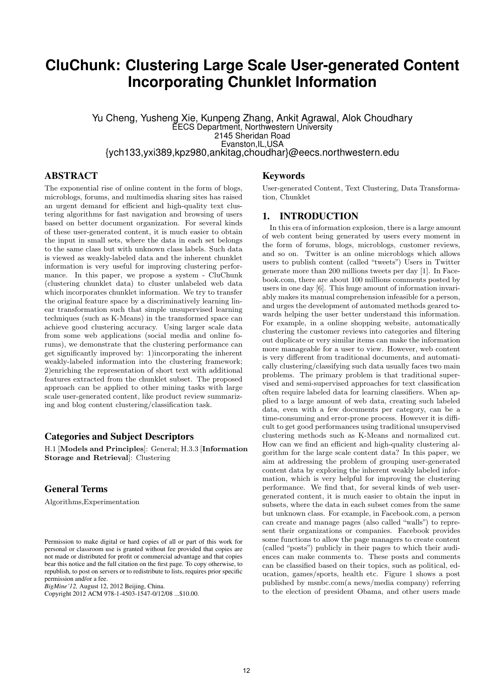# **CluChunk: Clustering Large Scale User-generated Content Incorporating Chunklet Information**

Yu Cheng, Yusheng Xie, Kunpeng Zhang, Ankit Agrawal, Alok Choudhary EECS Department, Northwestern University 2145 Sheridan Road Evanston,IL,USA {ych133,yxi389,kpz980,ankitag,choudhar}@eecs.northwestern.edu

## ABSTRACT

The exponential rise of online content in the form of blogs, microblogs, forums, and multimedia sharing sites has raised an urgent demand for efficient and high-quality text clustering algorithms for fast navigation and browsing of users based on better document organization. For several kinds of these user-generated content, it is much easier to obtain the input in small sets, where the data in each set belongs to the same class but with unknown class labels. Such data is viewed as weakly-labeled data and the inherent chunklet information is very useful for improving clustering performance. In this paper, we propose a system - CluChunk (clustering chunklet data) to cluster unlabeled web data which incorporates chunklet information. We try to transfer the original feature space by a discriminatively learning linear transformation such that simple unsupervised learning techniques (such as K-Means) in the transformed space can achieve good clustering accuracy. Using larger scale data from some web applications (social media and online forums), we demonstrate that the clustering performance can get significantly improved by: 1)incorporating the inherent weakly-labeled information into the clustering framework; 2)enriching the representation of short text with additional features extracted from the chunklet subset. The proposed approach can be applied to other mining tasks with large scale user-generated content, like product review summarizing and blog content clustering/classification task.

#### Categories and Subject Descriptors

H.1 [Models and Principles]: General; H.3.3 [Information Storage and Retrieval]: Clustering

#### General Terms

Algorithms,Experimentation

*BigMine'12,* August 12, 2012 Beijing, China.

Copyright 2012 ACM 978-1-4503-1547-0/12/08 ...\$10.00.

#### Keywords

User-generated Content, Text Clustering, Data Transformation, Chunklet

## 1. INTRODUCTION

In this era of information explosion, there is a large amount of web content being generated by users every moment in the form of forums, blogs, microblogs, customer reviews, and so on. Twitter is an online microblogs which allows users to publish content (called "tweets") Users in Twitter generate more than 200 millions tweets per day [1]. In Facebook.com, there are about 100 millions comments posted by users in one day [6]. This huge amount of information invariably makes its manual comprehension infeasible for a person, and urges the development of automated methods geared towards helping the user better understand this information. For example, in a online shopping website, automatically clustering the customer reviews into categories and filtering out duplicate or very similar items can make the information more manageable for a user to view. However, web content is very different from traditional documents, and automatically clustering/classifying such data usually faces two main problems. The primary problem is that traditional supervised and semi-supervised approaches for text classification often require labeled data for learning classifiers. When applied to a large amount of web data, creating such labeled data, even with a few documents per category, can be a time-consuming and error-prone process. However it is difficult to get good performances using traditional unsupervised clustering methods such as K-Means and normalized cut. How can we find an efficient and high-quality clustering algorithm for the large scale content data? In this paper, we aim at addressing the problem of grouping user-generated content data by exploring the inherent weakly labeled information, which is very helpful for improving the clustering performance. We find that, for several kinds of web usergenerated content, it is much easier to obtain the input in subsets, where the data in each subset comes from the same but unknown class. For example, in Facebook.com, a person can create and manage pages (also called "walls") to represent their organizations or companies. Facebook provides some functions to allow the page managers to create content (called "posts") publicly in their pages to which their audiences can make comments to. These posts and comments can be classified based on their topics, such as political, education, games/sports, health etc. Figure 1 shows a post published by msnbc.com(a news/media company) referring to the election of president Obama, and other users made

Permission to make digital or hard copies of all or part of this work for personal or classroom use is granted without fee provided that copies are not made or distributed for profit or commercial advantage and that copies bear this notice and the full citation on the first page. To copy otherwise, to republish, to post on servers or to redistribute to lists, requires prior specific permission and/or a fee.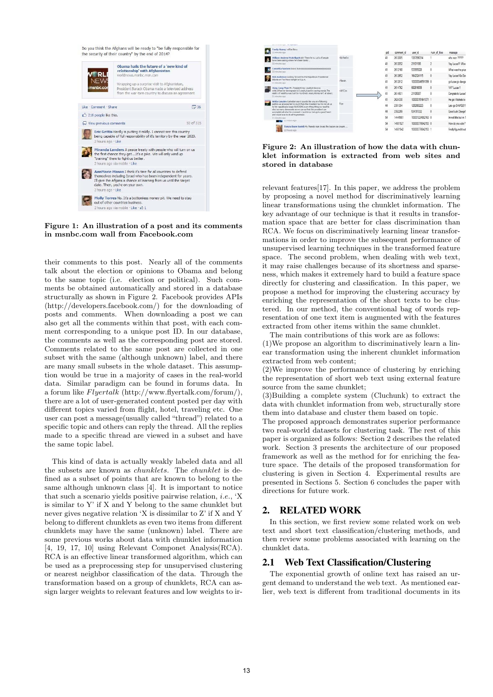

Figure 1: An illustration of a post and its comments in msnbc.com wall from Facebook.com

their comments to this post. Nearly all of the comments talk about the election or opinions to Obama and belong to the same topic (i.e. election or political). Such comments be obtained automatically and stored in a database structurally as shown in Figure 2. Facebook provides APIs (http://developers.facebook.com/) for the downloading of posts and comments. When downloading a post we can also get all the comments within that post, with each comment corresponding to a unique post ID. In our database, the comments as well as the corresponding post are stored. Comments related to the same post are collected in one subset with the same (although unknown) label, and there are many small subsets in the whole dataset. This assumption would be true in a majority of cases in the real-world data. Similar paradigm can be found in forums data. In a forum like  $Flyertalk$  (http://www.flyertalk.com/forum/), there are a lot of user-generated content posted per day with different topics varied from flight, hotel, traveling etc. One user can post a message(usually called "thread") related to a specific topic and others can reply the thread. All the replies made to a specific thread are viewed in a subset and have the same topic label.

This kind of data is actually weakly labeled data and all the subsets are known as *chunklets*. The *chunklet* is defined as a subset of points that are known to belong to the same although unknown class [4]. It is important to notice that such a scenario yields positive pairwise relation, i.e., 'X is similar to Y' if X and Y belong to the same chunklet but never gives negative relation 'X is dissimilar to Z' if X and Y belong to different chunklets as even two items from different chunklets may have the same (unknown) label. There are some previous works about data with chunklet information [4, 19, 17, 10] using Relevant Componet Analysis(RCA). RCA is an effective linear transformed algorithm, which can be used as a preprocessing step for unsupervised clustering or nearest neighbor classification of the data. Through the transformation based on a group of chunklets, RCA can assign larger weights to relevant features and low weights to ir-



Figure 2: An illustration of how the data with chunklet information is extracted from web sites and stored in database

relevant features[17]. In this paper, we address the problem by proposing a novel method for discriminatively learning linear transformations using the chunklet information. The key advantage of our technique is that it results in transformation space that are better for class discrimination than RCA. We focus on discriminatively learning linear transformations in order to improve the subsequent performance of unsupervised learning techniques in the transformed feature space. The second problem, when dealing with web text, it may raise challenges because of its shortness and sparseness, which makes it extremely hard to build a feature space directly for clustering and classification. In this paper, we propose a method for improving the clustering accuracy by enriching the representation of the short texts to be clustered. In our method, the conventional bag of words representation of one text item is augmented with the features extracted from other items within the same chunklet.

The main contributions of this work are as follows:

(1)We propose an algorithm to discriminatively learn a linear transformation using the inherent chunklet information extracted from web content;

(2)We improve the performance of clustering by enriching the representation of short web text using external feature source from the same chunklet;

(3)Building a complete system (Cluchunk) to extract the data with chunklet information from web, structurally store them into database and cluster them based on topic.

The proposed approach demonstrates superior performance two real-world datasets for clustering task. The rest of this paper is organized as follows: Section 2 describes the related work. Section 3 presents the architecture of our proposed framework as well as the method for for enriching the feature space. The details of the proposed transformation for clustering is given in Section 4. Experimental results are presented in Sections 5. Section 6 concludes the paper with directions for future work.

## 2. RELATED WORK

In this section, we first review some related work on web text and short text classification/clustering methods, and then review some problems associated with learning on the chunklet data.

## 2.1 Web Text Classification/Clustering

The exponential growth of online text has raised an urgent demand to understand the web text. As mentioned earlier, web text is different from traditional documents in its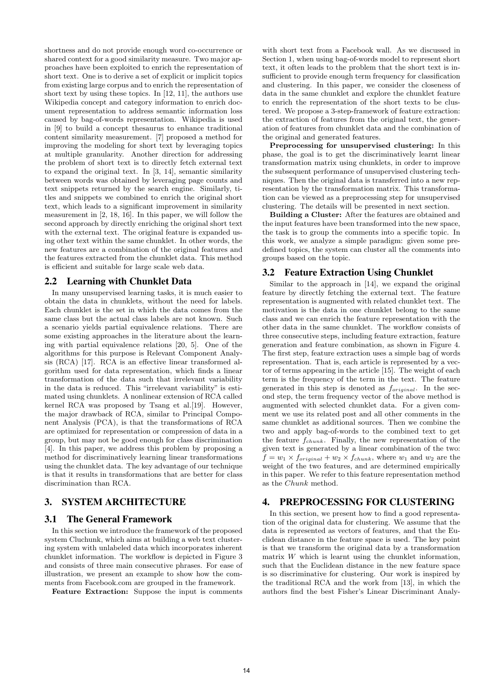shortness and do not provide enough word co-occurrence or shared context for a good similarity measure. Two major approaches have been exploited to enrich the representation of short text. One is to derive a set of explicit or implicit topics from existing large corpus and to enrich the representation of short text by using these topics. In [12, 11], the authors use Wikipedia concept and category information to enrich document representation to address semantic information loss caused by bag-of-words representation. Wikipedia is used in [9] to build a concept thesaurus to enhance traditional content similarity measurement. [7] proposed a method for improving the modeling for short text by leveraging topics at multiple granularity. Another direction for addressing the problem of short text is to directly fetch external text to expand the original text. In [3, 14], semantic similarity between words was obtained by leveraging page counts and text snippets returned by the search engine. Similarly, titles and snippets we combined to enrich the original short text, which leads to a significant improvement in similarity measurement in [2, 18, 16]. In this paper, we will follow the second approach by directly enriching the original short text with the external text. The original feature is expanded using other text within the same chunklet. In other words, the new features are a combination of the original features and the features extracted from the chunklet data. This method is efficient and suitable for large scale web data.

#### 2.2 Learning with Chunklet Data

In many unsupervised learning tasks, it is much easier to obtain the data in chunklets, without the need for labels. Each chunklet is the set in which the data comes from the same class but the actual class labels are not known. Such a scenario yields partial equivalence relations. There are some existing approaches in the literature about the learning with partial equivalence relations [20, 5]. One of the algorithms for this purpose is Relevant Component Analysis (RCA) [17]. RCA is an effective linear transformed algorithm used for data representation, which finds a linear transformation of the data such that irrelevant variability in the data is reduced. This "irrelevant variability" is estimated using chunklets. A nonlinear extension of RCA called kernel RCA was proposed by Tsang et al.[19]. However, the major drawback of RCA, similar to Principal Component Analysis (PCA), is that the transformations of RCA are optimized for representation or compression of data in a group, but may not be good enough for class discrimination [4]. In this paper, we address this problem by proposing a method for discriminatively learning linear transformations using the chunklet data. The key advantage of our technique is that it results in transformations that are better for class discrimination than RCA.

## 3. SYSTEM ARCHITECTURE

### 3.1 The General Framework

In this section we introduce the framework of the proposed system Cluchunk, which aims at building a web text clustering system with unlabeled data which incorporates inherent chunklet information. The workflow is depicted in Figure 3 and consists of three main consecutive phrases. For ease of illustration, we present an example to show how the comments from Facebook.com are grouped in the framework.

Feature Extraction: Suppose the input is comments

with short text from a Facebook wall. As we discussed in Section 1, when using bag-of-words model to represent short text, it often leads to the problem that the short text is insufficient to provide enough term frequency for classification and clustering. In this paper, we consider the closeness of data in the same chunklet and explore the chunklet feature to enrich the representation of the short texts to be clustered. We propose a 3-step-framework of feature extraction: the extraction of features from the original text, the generation of features from chunklet data and the combination of the original and generated features.

Preprocessing for unsupervised clustering: In this phase, the goal is to get the discriminatively learnt linear transformation matrix using chunklets, in order to improve the subsequent performance of unsupervised clustering techniques. Then the original data is transferred into a new representation by the transformation matrix. This transformation can be viewed as a preprocessing step for unsupervised clustering. The details will be presented in next section.

Building a Cluster: After the features are obtained and the input features have been transformed into the new space, the task is to group the comments into a specific topic. In this work, we analyze a simple paradigm: given some predefined topics, the system can cluster all the comments into groups based on the topic.

#### 3.2 Feature Extraction Using Chunklet

Similar to the approach in [14], we expand the original feature by directly fetching the external text. The feature representation is augmented with related chunklet text. The motivation is the data in one chunklet belong to the same class and we can enrich the feature representation with the other data in the same chunklet. The workflow consists of three consecutive steps, including feature extraction, feature generation and feature combination, as shown in Figure 4. The first step, feature extraction uses a simple bag of words representation. That is, each article is represented by a vector of terms appearing in the article [15]. The weight of each term is the frequency of the term in the text. The feature generated in this step is denoted as  $f_{original}$ . In the second step, the term frequency vector of the above method is augmented with selected chunklet data. For a given comment we use its related post and all other comments in the same chunklet as additional sources. Then we combine the two and apply bag-of-words to the combined text to get the feature  $f_{chunk}$ . Finally, the new representation of the given text is generated by a linear combination of the two:  $f = w_1 \times f_{original} + w_2 \times f_{chunk}$ , where  $w_1$  and  $w_2$  are the weight of the two features, and are determined empirically in this paper. We refer to this feature representation method as the Chunk method.

## 4. PREPROCESSING FOR CLUSTERING

In this section, we present how to find a good representation of the original data for clustering. We assume that the data is represented as vectors of features, and that the Euclidean distance in the feature space is used. The key point is that we transform the original data by a transformation matrix W which is learnt using the chunklet information, such that the Euclidean distance in the new feature space is so discriminative for clustering. Our work is inspired by the traditional RCA and the work from [13], in which the authors find the best Fisher's Linear Discriminant Analy-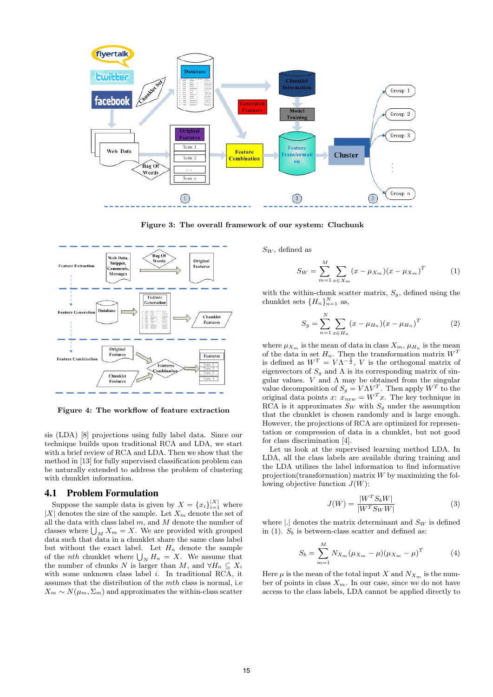

Figure 3: The overall framework of our system: Cluchunk



Figure 4: The workflow of feature extraction

sis (LDA) [8] projections using fully label data. Since our technique builds upon traditional RCA and LDA, we start with a brief review of RCA and LDA. Then we show that the method in [13] for fully supervised classification problem can be naturally extended to address the problem of clustering with chunklet information.

#### 4.1 Problem Formulation

Suppose the sample data is given by  $X = \{x_i\}_{i=1}^{|X|}$  where  $|X|$  denotes the size of the sample. Let  $X_m$  denote the set of all the data with class label  $m$ , and  $M$  denote the number of all the data with class label m, and M denote the number of classes where  $\bigcup_{M} X_m = X$ . We are provided with grouped data such that data in a chunklet share the same class label but without the exact label. Let  $H_n$  denote the sample but without the exact label. Let  $H_n$  denote the sample<br>of the *nth* chunklet where  $\bigcup_N H_n = X$ . We assume that the number of chunks N is larger than M, and  $\forall H_n \subseteq X_i$ with some unknown class label *i*. In traditional RCA, it assumes that the distribution of the mth class is normal, i.e  $X_m \sim N(\mu_m, \Sigma_m)$  and approximates the within-class scatter  $Sw$ , defined as

$$
S_W = \sum_{m=1}^{M} \sum_{x \in X_m} (x - \mu_{X_m})(x - \mu_{X_m})^T
$$
 (1)

with the within-chunk scatter matrix,  $S_q$ , defined using the chunklet sets  ${H_n}_{n=1}^N$  as,

$$
S_g = \sum_{n=1}^{N} \sum_{x \in H_n} (x - \mu_{H_n})(x - \mu_{H_n})^T
$$
 (2)

where  $\mu_{X_m}$  is the mean of data in class  $X_m$ ,  $\mu_{H_n}$  is the mean of the data in set  $H_n$ . Then the transformation matrix  $W^T$ is defined as  $W^T = V \Lambda^{-\frac{1}{2}}$ , V is the orthogonal matrix of eigenvectors of  $S_g$  and  $\Lambda$  is its corresponding matrix of singular values.  $V$  and  $\Lambda$  may be obtained from the singular value decomposition of  $S_g = V \Lambda V^T$ . Then apply  $W^T$  to the original data points x:  $x_{new} = W^T x$ . The key technique in RCA is it approximates  $S_W$  with  $S_q$  under the assumption that the chunklet is chosen randomly and is large enough. However, the projections of RCA are optimized for representation or compression of data in a chunklet, but not good for class discrimination [4].

Let us look at the supervised learning method LDA. In LDA, all the class labels are available during training and the LDA utilizes the label information to find informative projection(transformation) matrix  $W$  by maximizing the following objective function  $J(W)$ :

$$
J(W) = \frac{|W^T S_b W|}{|W^T S_W W|}
$$
\n<sup>(3)</sup>

where  $|.|$  denotes the matrix determinant and  $S_W$  is defined in (1).  $S_b$  is between-class scatter and defined as:

$$
S_b = \sum_{m=1}^{M} N_{X_m} (\mu_{X_m} - \mu) (\mu_{X_m} - \mu)^T
$$
 (4)

Here  $\mu$  is the mean of the total input  $X$  and  $N_{X_m}$  is the number of points in class  $X_m$ . In our case, since we do not have access to the class labels, LDA cannot be applied directly to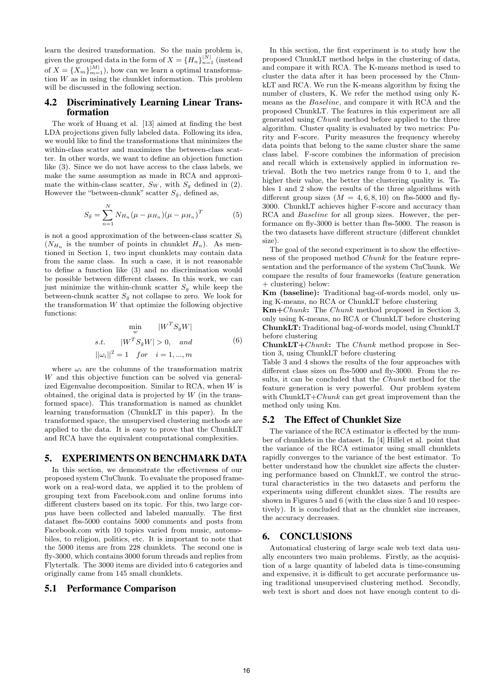learn the desired transformation. So the main problem is, given the grouped data in the form of  $X = \{H_n\}_{n=1}^{|N|}$  (instead of  $X = \{X_m\}_{m=1}^{|M|}$ , how can we learn a optimal transformation  $W$  as in using the chunklet information. This problem will be discussed in the following section.

#### 4.2 Discriminatively Learning Linear Transformation

The work of Huang et al. [13] aimed at finding the best LDA projections given fully labeled data. Following its idea, we would like to find the transformations that minimizes the within-class scatter and maximizes the between-class scatter. In other words, we want to define an objection function like (3). Since we do not have access to the class labels, we make the same assumption as made in RCA and approximate the within-class scatter,  $S_W$ , with  $S_g$  defined in (2). However the "between-chunk" scatter  $S_{\bar{g}}$ , defined as,

$$
S_{\bar{g}} = \sum_{n=1}^{N} N_{H_n} (\mu - \mu_{H_n}) (\mu - \mu_{H_n})^T
$$
 (5)

is not a good approximation of the between-class scatter  $S_b$  $(N_{H_n}$  is the number of points in chunklet  $H_n$ ). As mentioned in Section 1, two input chunklets may contain data from the same class. In such a case, it is not reasonable to define a function like (3) and no discrimination would be possible between different classes. In this work, we can just minimize the within-chunk scatter  $S_q$  while keep the between-chunk scatter  $S_{\bar{g}}$  not collapse to zero. We look for the transformation  $W$  that optimize the following objective functions:

$$
\min_{w} |W^{T} S_{g} W|
$$
  
s.t.  $|W^{T} S_{\bar{g}} W| > 0$ , and  $||\omega_{i}||^{2} = 1$  for  $i = 1, ..., m$  (6)

where  $\omega_i$  are the columns of the transformation matrix W and this objective function can be solved via generalized Eigenvalue decomposition. Similar to RCA, when  $W$  is obtained, the original data is projected by  $W$  (in the transformed space). This transformation is named as chunklet learning transformation (ChunkLT in this paper). In the transformed space, the unsupervised clustering methods are applied to the data. It is easy to prove that the ChunkLT and RCA have the equivalent computational complexities.

#### 5. EXPERIMENTS ON BENCHMARK DATA

In this section, we demonstrate the effectiveness of our proposed system CluChunk. To evaluate the proposed framework on a real-word data, we applied it to the problem of grouping text from Facebook.com and online forums into different clusters based on its topic. For this, two large corpus have been collected and labeled manually. The first dataset fbs-5000 contains 5000 comments and posts from Facebook.com with 10 topics varied from music, automobiles, to religion, politics, etc. It is important to note that the 5000 items are from 228 chunklets. The second one is fly-3000, which contains 3000 forum threads and replies from Flytertalk. The 3000 items are divided into 6 categories and originally came from 145 small chunklets.

#### 5.1 Performance Comparison

In this section, the first experiment is to study how the proposed ChunkLT method helps in the clustering of data, and compare it with RCA. The K-means method is used to cluster the data after it has been processed by the ChunkLT and RCA. We run the K-means algorithm by fixing the number of clusters, K. We refer the method using only Kmeans as the Baseline, and compare it with RCA and the proposed ChunkLT. The features in this experiment are all generated using Chunk method before applied to the three algorithm. Cluster quality is evaluated by two metrics: Purity and F-score. Purity measures the frequency whereby data points that belong to the same cluster share the same class label. F-score combines the information of precision and recall which is extensively applied in information retrieval. Both the two metrics range from 0 to 1, and the higher their value, the better the clustering quality is. Tables 1 and 2 show the results of the three algorithms with different group sizes  $(M = 4, 6, 8, 10)$  on fbs-5000 and fly-3000. ChunkLT achieves higher F-score and accuracy than RCA and *Baseline* for all group sizes. However, the performance on fly-3000 is better than fbs-5000. The reason is the two datasets have different structure (different chunklet size).

The goal of the second experiment is to show the effectiveness of the proposed method Chunk for the feature representation and the performance of the system CluChunk. We compare the results of four frameworks (feature generation + clustering) below:

Km (baseline): Traditional bag-of-words model, only using K-means, no RCA or ChunkLT before clustering

Km+Chunk: The Chunk method proposed in Section 3, only using K-means, no RCA or ChunkLT before clustering ChunkLT: Traditional bag-of-words model, using ChunkLT before clustering

**ChunkLT**+ $Chunk:$  The  $Chunk$  method propose in Section 3, using ChunkLT before clustering

Table 3 and 4 shows the results of the four approaches with different class sizes on fbs-5000 and fly-3000. From the results, it can be concluded that the *Chunk* method for the feature generation is very powerful. Our problem system with  $ChunkLT+Chunk$  can get great improvement than the method only using Km.

#### 5.2 The Effect of Chunklet Size

The variance of the RCA estimator is effected by the number of chunklets in the dataset. In [4] Hillel et al. point that the variance of the RCA estimator using small chunklets rapidly converges to the variance of the best estimator. To better understand how the chunklet size affects the clustering performance based on ChunkLT, we control the structural characteristics in the two datasets and perform the experiments using different chunklet sizes. The results are shown in Figures 5 and 6 (with the class size 5 and 10 respectively). It is concluded that as the chunklet size increases, the accuracy decreases.

## 6. CONCLUSIONS

Automatical clustering of large scale web text data usually encounters two main problems. Firstly, as the acquisition of a large quantity of labeled data is time-consuming and expensive, it is difficult to get accurate performance using traditional unsupervised clustering method. Secondly, web text is short and does not have enough content to di-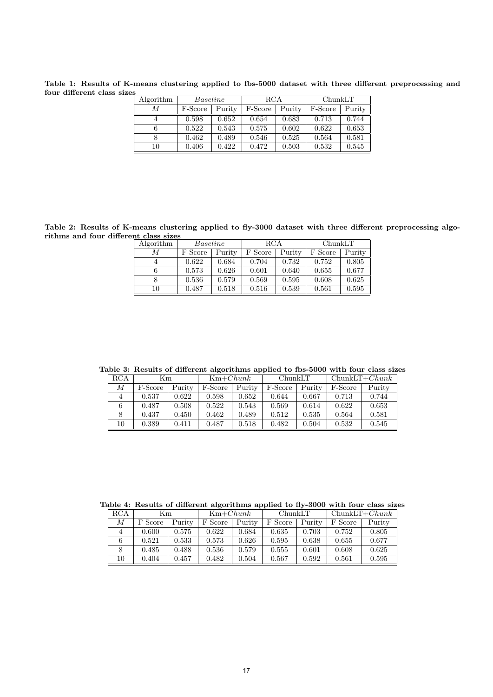| Algorithm | Baseline<br>F-Score<br>Purity |       | RCA               |       | ChunkLT           |       |  |
|-----------|-------------------------------|-------|-------------------|-------|-------------------|-------|--|
| М         |                               |       | F-Score<br>Purity |       | Purity<br>F-Score |       |  |
|           | 0.598                         | 0.652 | 0.654             | 0.683 | 0.713             | 0.744 |  |
|           | 0.522                         | 0.543 | 0.575             | 0.602 | 0.622             | 0.653 |  |
|           | 0.462                         | 0.489 | 0.546             | 0.525 | 0.564             | 0.581 |  |
| 10        | 0.406                         | 0.422 | 0.472             | 0.503 | 0.532             | 0.545 |  |

Table 1: Results of K-means clustering applied to fbs-5000 dataset with three different preprocessing and four different class sizes

Table 2: Results of K-means clustering applied to fly-3000 dataset with three different preprocessing algorithms and four different class sizes

| Algorithm | Baseline |        | RCA               |       | ChunkLT |        |  |
|-----------|----------|--------|-------------------|-------|---------|--------|--|
| M         | F-Score  | Purity | F-Score<br>Purity |       | F-Score | Purity |  |
|           | 0.622    | 0.684  | 0.704             | 0.732 | 0.752   | 0.805  |  |
|           | 0.573    | 0.626  | 0.601             | 0.640 | 0.655   | 0.677  |  |
|           | 0.536    | 0.579  | 0.569             | 0.595 | 0.608   | 0.625  |  |
| 10        | 0.487    | 0.518  | 0.516             | 0.539 | 0.561   | 0.595  |  |

Table 3: Results of different algorithms applied to fbs-5000 with four class sizes

| <b>RCA</b> | Km.     |        | $Km + Chunk$ |        | ChunkLT |        | $ChunkLT+Chunk$ |        |
|------------|---------|--------|--------------|--------|---------|--------|-----------------|--------|
| М          | F-Score | Purity | F-Score      | Purity | F-Score | Purity | F-Score         | Purity |
| 4          | 0.537   | 0.622  | 0.598        | 0.652  | 0.644   | 0.667  | 0.713           | 0.744  |
|            | 0.487   | 0.508  | 0.522        | 0.543  | 0.569   | 0.614  | 0.622           | 0.653  |
|            | 0.437   | 0.450  | 0.462        | 0.489  | 0.512   | 0.535  | 0.564           | 0.581  |
| 10         | 0.389   | 0.411  | 0.487        | 0.518  | 0.482   | 0.504  | 0.532           | 0.545  |

Table 4: Results of different algorithms applied to fly-3000 with four class sizes

| $_{\rm RCA}$     | Km      |        | $Km+Chunk$ |        | ChunkLT |        | $\overline{\text{ChunkLT}} + \text{Chunk}$ |        |
|------------------|---------|--------|------------|--------|---------|--------|--------------------------------------------|--------|
| $\boldsymbol{M}$ | F-Score | Purity | F-Score    | Purity | F-Score | Purity | F-Score                                    | Purity |
|                  | 0.600   | 0.575  | 0.622      | 0.684  | 0.635   | 0.703  | 0.752                                      | 0.805  |
|                  | 0.521   | 0.533  | 0.573      | 0.626  | 0.595   | 0.638  | 0.655                                      | 0.677  |
|                  | 0.485   | 0.488  | 0.536      | 0.579  | 0.555   | 0.601  | 0.608                                      | 0.625  |
| 10               | 0.404   | 0.457  | 0.482      | 0.504  | 0.567   | 0.592  | 0.561                                      | 0.595  |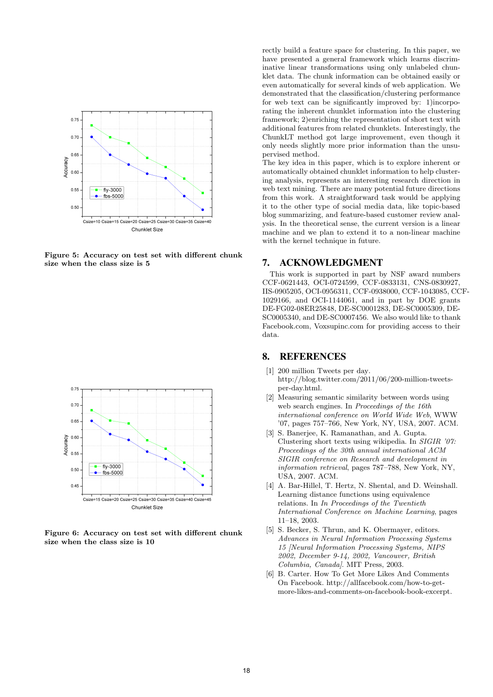

Figure 5: Accuracy on test set with different chunk size when the class size is 5



Figure 6: Accuracy on test set with different chunk size when the class size is 10

rectly build a feature space for clustering. In this paper, we have presented a general framework which learns discriminative linear transformations using only unlabeled chunklet data. The chunk information can be obtained easily or even automatically for several kinds of web application. We demonstrated that the classification/clustering performance for web text can be significantly improved by: 1)incorporating the inherent chunklet information into the clustering framework; 2)enriching the representation of short text with additional features from related chunklets. Interestingly, the ChunkLT method got large improvement, even though it only needs slightly more prior information than the unsupervised method.

The key idea in this paper, which is to explore inherent or automatically obtained chunklet information to help clustering analysis, represents an interesting research direction in web text mining. There are many potential future directions from this work. A straightforward task would be applying it to the other type of social media data, like topic-based blog summarizing, and feature-based customer review analysis. In the theoretical sense, the current version is a linear machine and we plan to extend it to a non-linear machine with the kernel technique in future.

## 7. ACKNOWLEDGMENT

This work is supported in part by NSF award numbers CCF-0621443, OCI-0724599, CCF-0833131, CNS-0830927, IIS-0905205, OCI-0956311, CCF-0938000, CCF-1043085, CCF-1029166, and OCI-1144061, and in part by DOE grants DE-FG02-08ER25848, DE-SC0001283, DE-SC0005309, DE-SC0005340, and DE-SC0007456. We also would like to thank Facebook.com, Voxsupinc.com for providing access to their data.

## 8. REFERENCES

- [1] 200 million Tweets per day. http://blog.twitter.com/2011/06/200-million-tweetsper-day.html.
- [2] Measuring semantic similarity between words using web search engines. In Proceedings of the 16th international conference on World Wide Web, WWW '07, pages 757–766, New York, NY, USA, 2007. ACM.
- [3] S. Banerjee, K. Ramanathan, and A. Gupta. Clustering short texts using wikipedia. In SIGIR '07: Proceedings of the 30th annual international ACM SIGIR conference on Research and development in information retrieval, pages 787–788, New York, NY, USA, 2007. ACM.
- [4] A. Bar-Hillel, T. Hertz, N. Shental, and D. Weinshall. Learning distance functions using equivalence relations. In In Proceedings of the Twentieth International Conference on Machine Learning, pages 11–18, 2003.
- [5] S. Becker, S. Thrun, and K. Obermayer, editors. Advances in Neural Information Processing Systems 15 [Neural Information Processing Systems, NIPS 2002, December 9-14, 2002, Vancouver, British Columbia, Canada]. MIT Press, 2003.
- [6] B. Carter. How To Get More Likes And Comments On Facebook. http://allfacebook.com/how-to-getmore-likes-and-comments-on-facebook-book-excerpt.